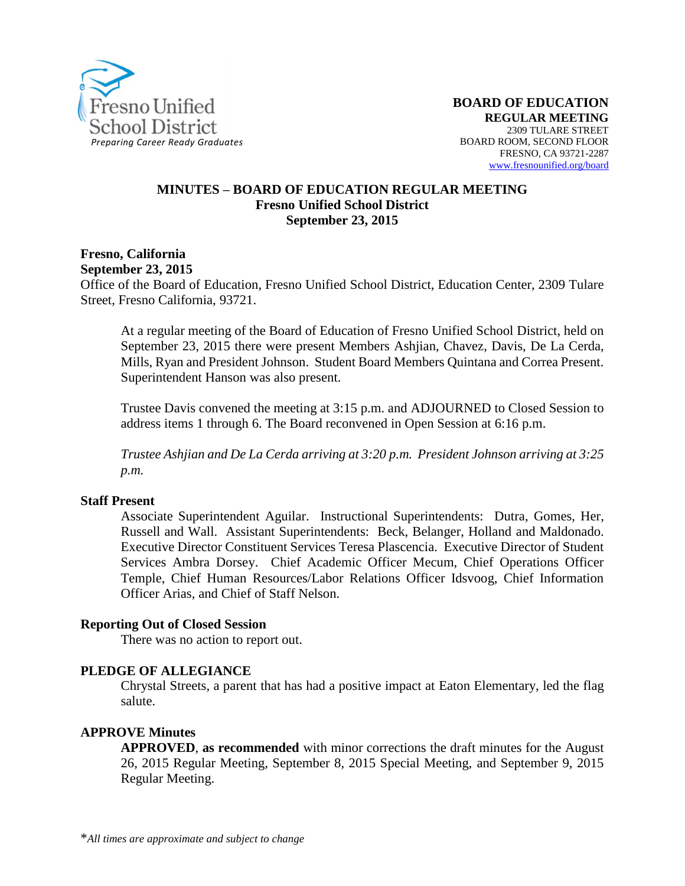

#### **MINUTES – BOARD OF EDUCATION REGULAR MEETING Fresno Unified School District September 23, 2015**

#### **Fresno, California September 23, 2015**

Office of the Board of Education, Fresno Unified School District, Education Center, 2309 Tulare Street, Fresno California, 93721.

At a regular meeting of the Board of Education of Fresno Unified School District, held on September 23, 2015 there were present Members Ashjian, Chavez, Davis, De La Cerda, Mills, Ryan and President Johnson. Student Board Members Quintana and Correa Present. Superintendent Hanson was also present.

Trustee Davis convened the meeting at 3:15 p.m. and ADJOURNED to Closed Session to address items 1 through 6. The Board reconvened in Open Session at 6:16 p.m.

*Trustee Ashjian and De La Cerda arriving at 3:20 p.m. President Johnson arriving at 3:25 p.m.*

#### **Staff Present**

Associate Superintendent Aguilar. Instructional Superintendents: Dutra, Gomes, Her, Russell and Wall. Assistant Superintendents: Beck, Belanger, Holland and Maldonado. Executive Director Constituent Services Teresa Plascencia. Executive Director of Student Services Ambra Dorsey. Chief Academic Officer Mecum, Chief Operations Officer Temple, Chief Human Resources/Labor Relations Officer Idsvoog, Chief Information Officer Arias, and Chief of Staff Nelson.

#### **Reporting Out of Closed Session**

There was no action to report out.

#### **PLEDGE OF ALLEGIANCE**

Chrystal Streets, a parent that has had a positive impact at Eaton Elementary, led the flag salute.

#### **APPROVE Minutes**

**APPROVED**, **as recommended** with minor corrections the draft minutes for the August 26, 2015 Regular Meeting, September 8, 2015 Special Meeting, and September 9, 2015 Regular Meeting.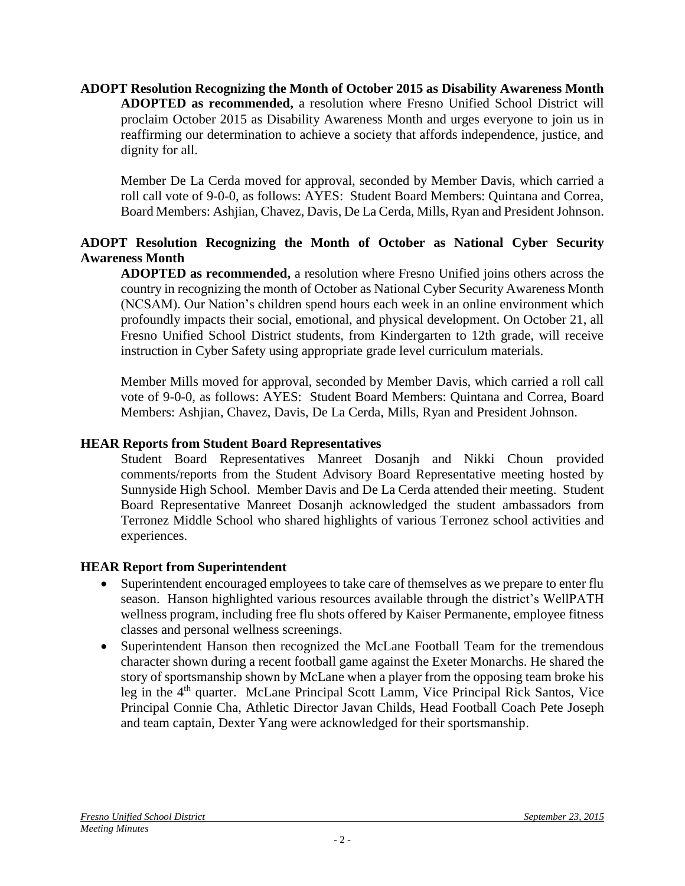**ADOPT Resolution Recognizing the Month of October 2015 as Disability Awareness Month ADOPTED as recommended,** a resolution where Fresno Unified School District will proclaim October 2015 as Disability Awareness Month and urges everyone to join us in reaffirming our determination to achieve a society that affords independence, justice, and dignity for all.

Member De La Cerda moved for approval, seconded by Member Davis, which carried a roll call vote of 9-0-0, as follows: AYES: Student Board Members: Quintana and Correa, Board Members: Ashjian, Chavez, Davis, De La Cerda, Mills, Ryan and President Johnson.

## **ADOPT Resolution Recognizing the Month of October as National Cyber Security Awareness Month**

**ADOPTED as recommended,** a resolution where Fresno Unified joins others across the country in recognizing the month of October as National Cyber Security Awareness Month (NCSAM). Our Nation's children spend hours each week in an online environment which profoundly impacts their social, emotional, and physical development. On October 21, all Fresno Unified School District students, from Kindergarten to 12th grade, will receive instruction in Cyber Safety using appropriate grade level curriculum materials.

Member Mills moved for approval, seconded by Member Davis, which carried a roll call vote of 9-0-0, as follows: AYES: Student Board Members: Quintana and Correa, Board Members: Ashjian, Chavez, Davis, De La Cerda, Mills, Ryan and President Johnson.

#### **HEAR Reports from Student Board Representatives**

Student Board Representatives Manreet Dosanjh and Nikki Choun provided comments/reports from the Student Advisory Board Representative meeting hosted by Sunnyside High School. Member Davis and De La Cerda attended their meeting. Student Board Representative Manreet Dosanjh acknowledged the student ambassadors from Terronez Middle School who shared highlights of various Terronez school activities and experiences.

#### **HEAR Report from Superintendent**

- Superintendent encouraged employees to take care of themselves as we prepare to enter flu season. Hanson highlighted various resources available through the district's WellPATH wellness program, including free flu shots offered by Kaiser Permanente, employee fitness classes and personal wellness screenings.
- Superintendent Hanson then recognized the McLane Football Team for the tremendous character shown during a recent football game against the Exeter Monarchs. He shared the story of sportsmanship shown by McLane when a player from the opposing team broke his leg in the 4th quarter. McLane Principal Scott Lamm, Vice Principal Rick Santos, Vice Principal Connie Cha, Athletic Director Javan Childs, Head Football Coach Pete Joseph and team captain, Dexter Yang were acknowledged for their sportsmanship.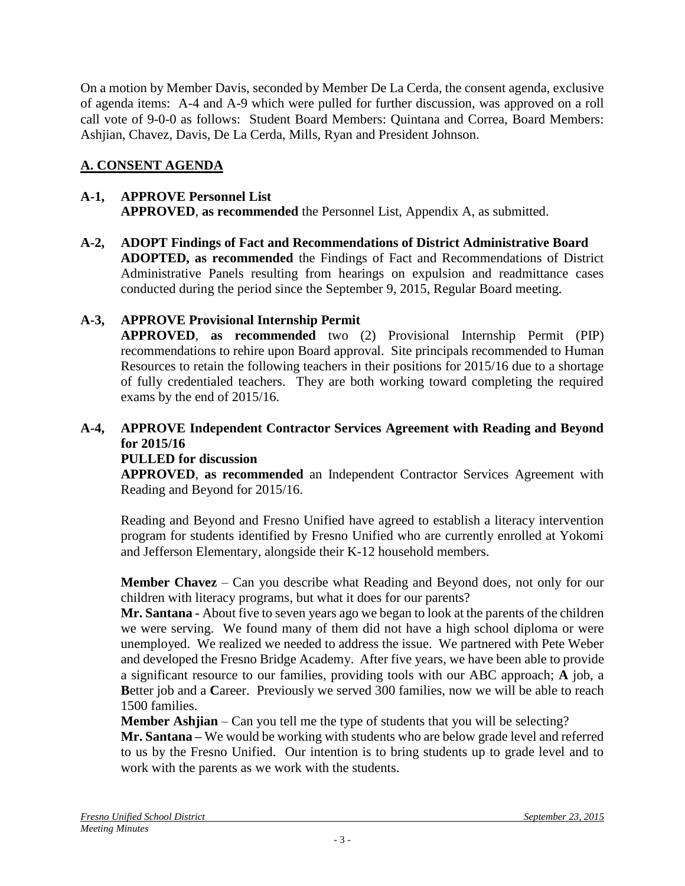On a motion by Member Davis, seconded by Member De La Cerda, the consent agenda, exclusive of agenda items: A-4 and A-9 which were pulled for further discussion, was approved on a roll call vote of 9-0-0 as follows: Student Board Members: Quintana and Correa, Board Members: Ashjian, Chavez, Davis, De La Cerda, Mills, Ryan and President Johnson.

# **A. CONSENT AGENDA**

#### **A-1, APPROVE Personnel List APPROVED**, **as recommended** the Personnel List, Appendix A, as submitted.

**A-2, ADOPT Findings of Fact and Recommendations of District Administrative Board ADOPTED, as recommended** the Findings of Fact and Recommendations of District Administrative Panels resulting from hearings on expulsion and readmittance cases conducted during the period since the September 9, 2015, Regular Board meeting.

## **A-3, APPROVE Provisional Internship Permit**

**APPROVED**, **as recommended** two (2) Provisional Internship Permit (PIP) recommendations to rehire upon Board approval. Site principals recommended to Human Resources to retain the following teachers in their positions for 2015/16 due to a shortage of fully credentialed teachers. They are both working toward completing the required exams by the end of 2015/16.

# **A-4, APPROVE Independent Contractor Services Agreement with Reading and Beyond for 2015/16**

## **PULLED for discussion**

**APPROVED**, **as recommended** an Independent Contractor Services Agreement with Reading and Beyond for 2015/16.

Reading and Beyond and Fresno Unified have agreed to establish a literacy intervention program for students identified by Fresno Unified who are currently enrolled at Yokomi and Jefferson Elementary, alongside their K-12 household members.

**Member Chavez** – Can you describe what Reading and Beyond does, not only for our children with literacy programs, but what it does for our parents?

**Mr. Santana -** About five to seven years ago we began to look at the parents of the children we were serving. We found many of them did not have a high school diploma or were unemployed. We realized we needed to address the issue. We partnered with Pete Weber and developed the Fresno Bridge Academy. After five years, we have been able to provide a significant resource to our families, providing tools with our ABC approach; **A** job, a **B**etter job and a **C**areer. Previously we served 300 families, now we will be able to reach 1500 families.

**Member Ashjian** – Can you tell me the type of students that you will be selecting?

**Mr. Santana –** We would be working with students who are below grade level and referred to us by the Fresno Unified. Our intention is to bring students up to grade level and to work with the parents as we work with the students.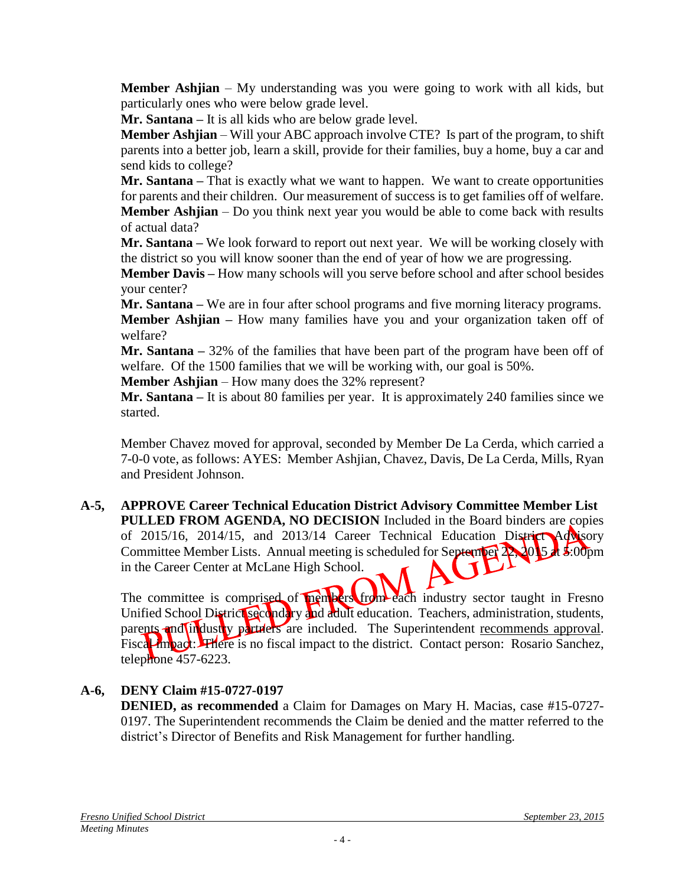**Member Ashjian** – My understanding was you were going to work with all kids, but particularly ones who were below grade level.

**Mr. Santana –** It is all kids who are below grade level.

**Member Ashjian** – Will your ABC approach involve CTE? Is part of the program, to shift parents into a better job, learn a skill, provide for their families, buy a home, buy a car and send kids to college?

**Mr. Santana –** That is exactly what we want to happen. We want to create opportunities for parents and their children. Our measurement of success is to get families off of welfare. **Member Ashjian** – Do you think next year you would be able to come back with results of actual data?

**Mr. Santana –** We look forward to report out next year. We will be working closely with the district so you will know sooner than the end of year of how we are progressing.

**Member Davis –** How many schools will you serve before school and after school besides your center?

**Mr. Santana –** We are in four after school programs and five morning literacy programs. **Member Ashjian –** How many families have you and your organization taken off of welfare?

**Mr. Santana –** 32% of the families that have been part of the program have been off of welfare. Of the 1500 families that we will be working with, our goal is 50%.

**Member Ashjian** – How many does the 32% represent?

**Mr. Santana –** It is about 80 families per year. It is approximately 240 families since we started.

Member Chavez moved for approval, seconded by Member De La Cerda, which carried a 7-0-0 vote, as follows: AYES: Member Ashjian, Chavez, Davis, De La Cerda, Mills, Ryan and President Johnson.

**A-5, APPROVE Career Technical Education District Advisory Committee Member List PULLED FROM AGENDA, NO DECISION** Included in the Board binders are copies of 2015/16, 2014/15, and 2013/14 Career Technical Education District Advisory Committee Member Lists. Annual meeting is scheduled for September 22, 2015 at 5:00pm in the Career Center at McLane High School.

The committee is comprised of members from each industry sector taught in Fresno Unified School District secondary and adult education. Teachers, administration, students, parents and industry particles are included. The Superintendent recommends approval. Fiscal impact: There is no fiscal impact to the district. Contact person: Rosario Sanchez, telephone 457-6223.

# **A-6, DENY Claim #15-0727-0197**

**DENIED, as recommended** a Claim for Damages on Mary H. Macias, case #15-0727- 0197. The Superintendent recommends the Claim be denied and the matter referred to the district's Director of Benefits and Risk Management for further handling.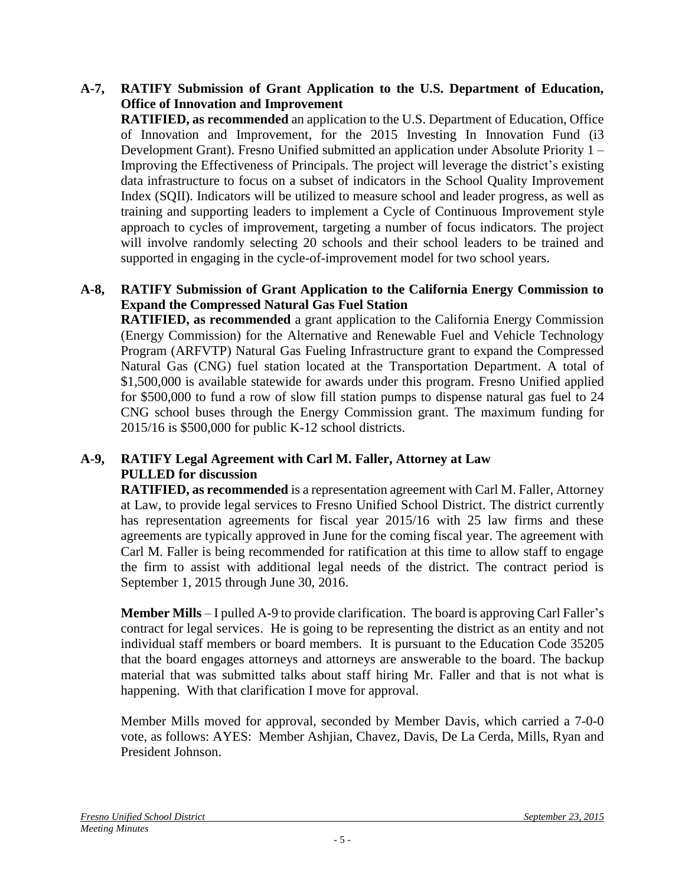#### **A-7, RATIFY Submission of Grant Application to the U.S. Department of Education, Office of Innovation and Improvement**

**RATIFIED, as recommended** an application to the U.S. Department of Education, Office of Innovation and Improvement, for the 2015 Investing In Innovation Fund (i3 Development Grant). Fresno Unified submitted an application under Absolute Priority 1 – Improving the Effectiveness of Principals. The project will leverage the district's existing data infrastructure to focus on a subset of indicators in the School Quality Improvement Index (SQII). Indicators will be utilized to measure school and leader progress, as well as training and supporting leaders to implement a Cycle of Continuous Improvement style approach to cycles of improvement, targeting a number of focus indicators. The project will involve randomly selecting 20 schools and their school leaders to be trained and supported in engaging in the cycle-of-improvement model for two school years.

### **A-8, RATIFY Submission of Grant Application to the California Energy Commission to Expand the Compressed Natural Gas Fuel Station**

**RATIFIED, as recommended** a grant application to the California Energy Commission (Energy Commission) for the Alternative and Renewable Fuel and Vehicle Technology Program (ARFVTP) Natural Gas Fueling Infrastructure grant to expand the Compressed Natural Gas (CNG) fuel station located at the Transportation Department. A total of \$1,500,000 is available statewide for awards under this program. Fresno Unified applied for \$500,000 to fund a row of slow fill station pumps to dispense natural gas fuel to 24 CNG school buses through the Energy Commission grant. The maximum funding for 2015/16 is \$500,000 for public K-12 school districts.

## **A-9, RATIFY Legal Agreement with Carl M. Faller, Attorney at Law PULLED for discussion**

**RATIFIED, as recommended** is a representation agreement with Carl M. Faller, Attorney at Law, to provide legal services to Fresno Unified School District. The district currently has representation agreements for fiscal year 2015/16 with 25 law firms and these agreements are typically approved in June for the coming fiscal year. The agreement with Carl M. Faller is being recommended for ratification at this time to allow staff to engage the firm to assist with additional legal needs of the district. The contract period is September 1, 2015 through June 30, 2016.

**Member Mills** – I pulled A-9 to provide clarification. The board is approving Carl Faller's contract for legal services. He is going to be representing the district as an entity and not individual staff members or board members. It is pursuant to the Education Code 35205 that the board engages attorneys and attorneys are answerable to the board. The backup material that was submitted talks about staff hiring Mr. Faller and that is not what is happening. With that clarification I move for approval.

Member Mills moved for approval, seconded by Member Davis, which carried a 7-0-0 vote, as follows: AYES: Member Ashjian, Chavez, Davis, De La Cerda, Mills, Ryan and President Johnson.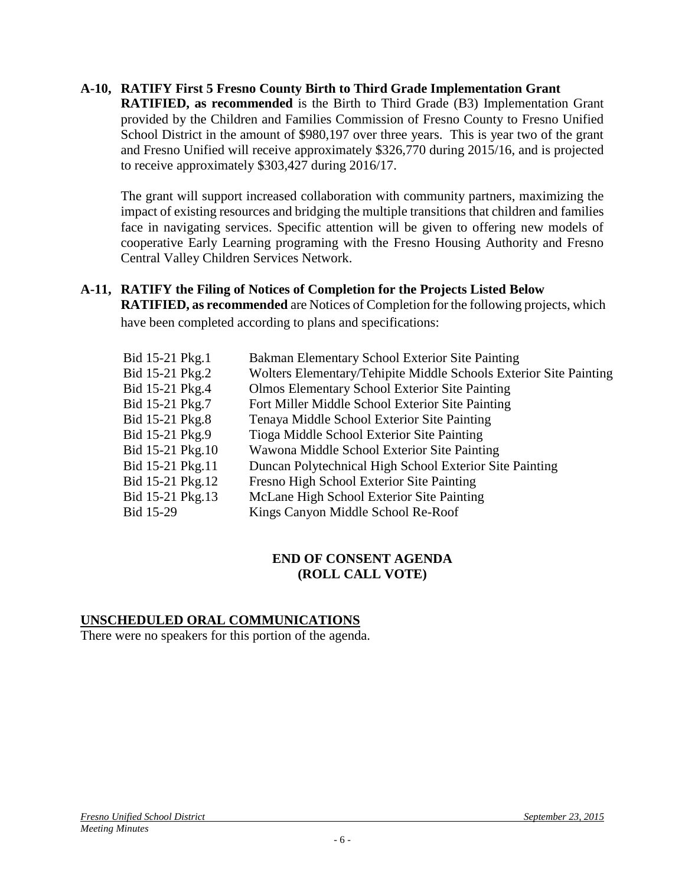#### **A-10, RATIFY First 5 Fresno County Birth to Third Grade Implementation Grant**

**RATIFIED, as recommended** is the Birth to Third Grade (B3) Implementation Grant provided by the Children and Families Commission of Fresno County to Fresno Unified School District in the amount of \$980,197 over three years. This is year two of the grant and Fresno Unified will receive approximately \$326,770 during 2015/16, and is projected to receive approximately \$303,427 during 2016/17.

The grant will support increased collaboration with community partners, maximizing the impact of existing resources and bridging the multiple transitions that children and families face in navigating services. Specific attention will be given to offering new models of cooperative Early Learning programing with the Fresno Housing Authority and Fresno Central Valley Children Services Network.

#### **A-11, RATIFY the Filing of Notices of Completion for the Projects Listed Below RATIFIED, as recommended** are Notices of Completion for the following projects, which have been completed according to plans and specifications:

| Bid 15-21 Pkg.1  | Bakman Elementary School Exterior Site Painting                   |
|------------------|-------------------------------------------------------------------|
| Bid 15-21 Pkg.2  | Wolters Elementary/Tehipite Middle Schools Exterior Site Painting |
| Bid 15-21 Pkg.4  | <b>Olmos Elementary School Exterior Site Painting</b>             |
| Bid 15-21 Pkg.7  | Fort Miller Middle School Exterior Site Painting                  |
| Bid 15-21 Pkg.8  | Tenaya Middle School Exterior Site Painting                       |
| Bid 15-21 Pkg.9  | Tioga Middle School Exterior Site Painting                        |
| Bid 15-21 Pkg.10 | Wawona Middle School Exterior Site Painting                       |
| Bid 15-21 Pkg.11 | Duncan Polytechnical High School Exterior Site Painting           |
| Bid 15-21 Pkg.12 | Fresno High School Exterior Site Painting                         |
| Bid 15-21 Pkg.13 | McLane High School Exterior Site Painting                         |
| Bid 15-29        | Kings Canyon Middle School Re-Roof                                |

#### **END OF CONSENT AGENDA (ROLL CALL VOTE)**

#### **UNSCHEDULED ORAL COMMUNICATIONS**

There were no speakers for this portion of the agenda.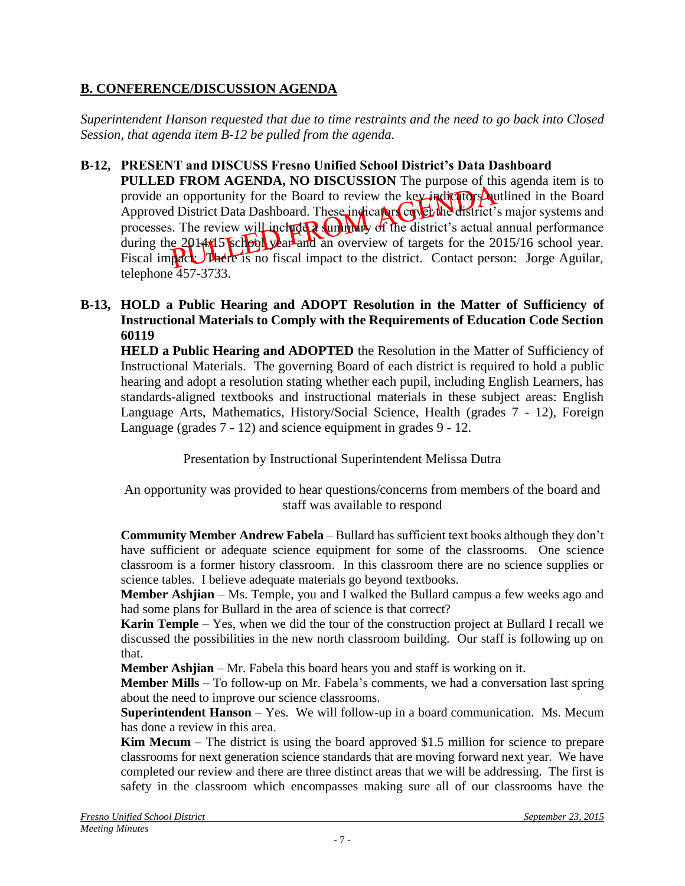## **B. CONFERENCE/DISCUSSION AGENDA**

*Superintendent Hanson requested that due to time restraints and the need to go back into Closed Session, that agenda item B-12 be pulled from the agenda.*

### **B-12, PRESENT and DISCUSS Fresno Unified School District's Data Dashboard**

**PULLED FROM AGENDA, NO DISCUSSION** The purpose of this agenda item is to provide an opportunity for the Board to review the key indicators outlined in the Board Approved District Data Dashboard. These indicators cover the district's major systems and processes. The review will include a summary of the district's actual annual performance during the 2014/15 school year and an overview of targets for the 2015/16 school year. Fiscal impact: There is no fiscal impact to the district. Contact person: Jorge Aguilar, telephone 457-3733.

#### **B-13, HOLD a Public Hearing and ADOPT Resolution in the Matter of Sufficiency of Instructional Materials to Comply with the Requirements of Education Code Section 60119**

**HELD a Public Hearing and ADOPTED** the Resolution in the Matter of Sufficiency of Instructional Materials. The governing Board of each district is required to hold a public hearing and adopt a resolution stating whether each pupil, including English Learners, has standards-aligned textbooks and instructional materials in these subject areas: English Language Arts, Mathematics, History/Social Science, Health (grades 7 - 12), Foreign Language (grades 7 - 12) and science equipment in grades 9 - 12.

Presentation by Instructional Superintendent Melissa Dutra

An opportunity was provided to hear questions/concerns from members of the board and staff was available to respond

**Community Member Andrew Fabela** – Bullard has sufficient text books although they don't have sufficient or adequate science equipment for some of the classrooms. One science classroom is a former history classroom. In this classroom there are no science supplies or science tables. I believe adequate materials go beyond textbooks.

**Member Ashjian** – Ms. Temple, you and I walked the Bullard campus a few weeks ago and had some plans for Bullard in the area of science is that correct?

**Karin Temple** – Yes, when we did the tour of the construction project at Bullard I recall we discussed the possibilities in the new north classroom building. Our staff is following up on that.

**Member Ashjian** – Mr. Fabela this board hears you and staff is working on it.

**Member Mills** – To follow-up on Mr. Fabela's comments, we had a conversation last spring about the need to improve our science classrooms.

**Superintendent Hanson** – Yes. We will follow-up in a board communication. Ms. Mecum has done a review in this area.

**Kim Mecum** – The district is using the board approved \$1.5 million for science to prepare classrooms for next generation science standards that are moving forward next year. We have completed our review and there are three distinct areas that we will be addressing. The first is safety in the classroom which encompasses making sure all of our classrooms have the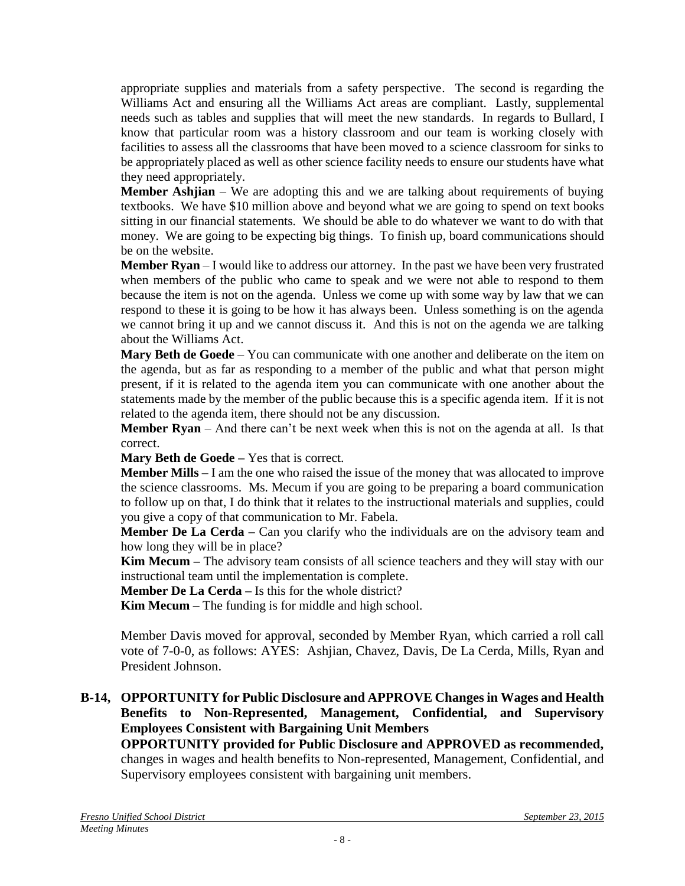appropriate supplies and materials from a safety perspective. The second is regarding the Williams Act and ensuring all the Williams Act areas are compliant. Lastly, supplemental needs such as tables and supplies that will meet the new standards. In regards to Bullard, I know that particular room was a history classroom and our team is working closely with facilities to assess all the classrooms that have been moved to a science classroom for sinks to be appropriately placed as well as other science facility needs to ensure our students have what they need appropriately.

**Member Ashijan** – We are adopting this and we are talking about requirements of buying textbooks. We have \$10 million above and beyond what we are going to spend on text books sitting in our financial statements. We should be able to do whatever we want to do with that money. We are going to be expecting big things. To finish up, board communications should be on the website.

**Member Ryan** – I would like to address our attorney. In the past we have been very frustrated when members of the public who came to speak and we were not able to respond to them because the item is not on the agenda. Unless we come up with some way by law that we can respond to these it is going to be how it has always been. Unless something is on the agenda we cannot bring it up and we cannot discuss it. And this is not on the agenda we are talking about the Williams Act.

**Mary Beth de Goede** – You can communicate with one another and deliberate on the item on the agenda, but as far as responding to a member of the public and what that person might present, if it is related to the agenda item you can communicate with one another about the statements made by the member of the public because this is a specific agenda item. If it is not related to the agenda item, there should not be any discussion.

**Member Ryan** – And there can't be next week when this is not on the agenda at all. Is that correct.

**Mary Beth de Goede –** Yes that is correct.

**Member Mills –** I am the one who raised the issue of the money that was allocated to improve the science classrooms. Ms. Mecum if you are going to be preparing a board communication to follow up on that, I do think that it relates to the instructional materials and supplies, could you give a copy of that communication to Mr. Fabela.

**Member De La Cerda** – Can you clarify who the individuals are on the advisory team and how long they will be in place?

**Kim Mecum –** The advisory team consists of all science teachers and they will stay with our instructional team until the implementation is complete.

**Member De La Cerda –** Is this for the whole district?

**Kim Mecum –** The funding is for middle and high school.

Member Davis moved for approval, seconded by Member Ryan, which carried a roll call vote of 7-0-0, as follows: AYES: Ashjian, Chavez, Davis, De La Cerda, Mills, Ryan and President Johnson.

#### **B-14, OPPORTUNITY for Public Disclosure and APPROVE Changes in Wages and Health Benefits to Non-Represented, Management, Confidential, and Supervisory Employees Consistent with Bargaining Unit Members**

**OPPORTUNITY provided for Public Disclosure and APPROVED as recommended,** changes in wages and health benefits to Non-represented, Management, Confidential, and Supervisory employees consistent with bargaining unit members.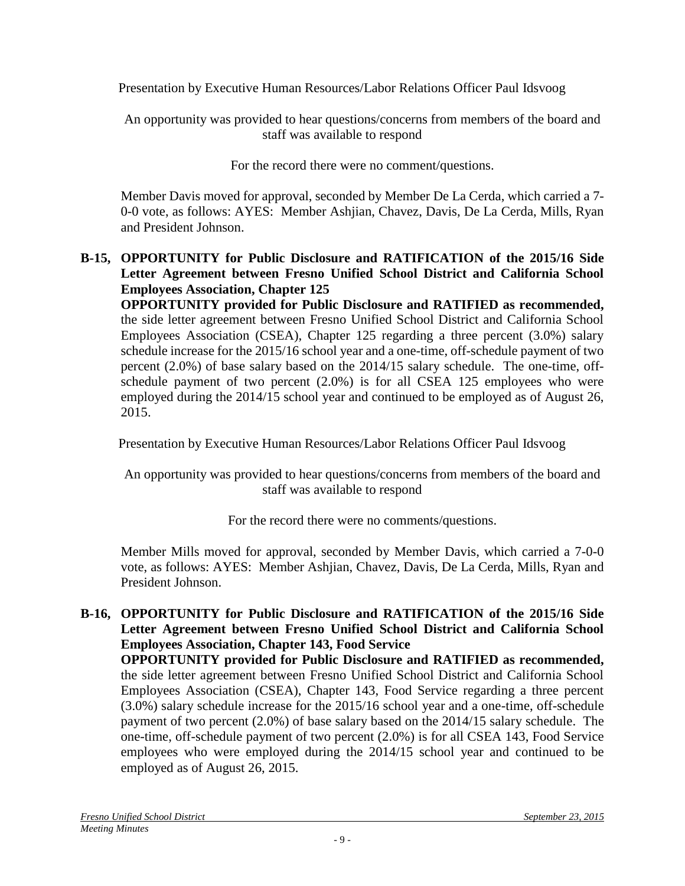Presentation by Executive Human Resources/Labor Relations Officer Paul Idsvoog

An opportunity was provided to hear questions/concerns from members of the board and staff was available to respond

For the record there were no comment/questions.

Member Davis moved for approval, seconded by Member De La Cerda, which carried a 7- 0-0 vote, as follows: AYES: Member Ashjian, Chavez, Davis, De La Cerda, Mills, Ryan and President Johnson.

## **B-15, OPPORTUNITY for Public Disclosure and RATIFICATION of the 2015/16 Side Letter Agreement between Fresno Unified School District and California School Employees Association, Chapter 125**

**OPPORTUNITY provided for Public Disclosure and RATIFIED as recommended,** the side letter agreement between Fresno Unified School District and California School Employees Association (CSEA), Chapter 125 regarding a three percent (3.0%) salary schedule increase for the 2015/16 school year and a one-time, off-schedule payment of two percent (2.0%) of base salary based on the 2014/15 salary schedule. The one-time, offschedule payment of two percent (2.0%) is for all CSEA 125 employees who were employed during the 2014/15 school year and continued to be employed as of August 26, 2015.

Presentation by Executive Human Resources/Labor Relations Officer Paul Idsvoog

An opportunity was provided to hear questions/concerns from members of the board and staff was available to respond

For the record there were no comments/questions.

Member Mills moved for approval, seconded by Member Davis, which carried a 7-0-0 vote, as follows: AYES: Member Ashjian, Chavez, Davis, De La Cerda, Mills, Ryan and President Johnson.

## **B-16, OPPORTUNITY for Public Disclosure and RATIFICATION of the 2015/16 Side Letter Agreement between Fresno Unified School District and California School Employees Association, Chapter 143, Food Service**

**OPPORTUNITY provided for Public Disclosure and RATIFIED as recommended,** the side letter agreement between Fresno Unified School District and California School Employees Association (CSEA), Chapter 143, Food Service regarding a three percent (3.0%) salary schedule increase for the 2015/16 school year and a one-time, off-schedule payment of two percent (2.0%) of base salary based on the 2014/15 salary schedule. The one-time, off-schedule payment of two percent (2.0%) is for all CSEA 143, Food Service employees who were employed during the 2014/15 school year and continued to be employed as of August 26, 2015.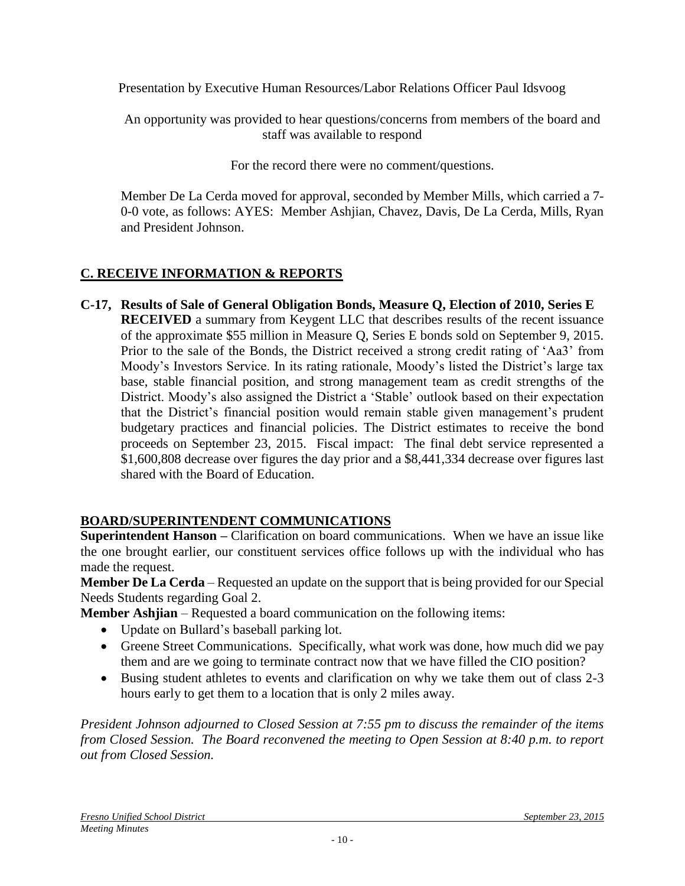Presentation by Executive Human Resources/Labor Relations Officer Paul Idsvoog

An opportunity was provided to hear questions/concerns from members of the board and staff was available to respond

For the record there were no comment/questions.

Member De La Cerda moved for approval, seconded by Member Mills, which carried a 7- 0-0 vote, as follows: AYES: Member Ashjian, Chavez, Davis, De La Cerda, Mills, Ryan and President Johnson.

## **C. RECEIVE INFORMATION & REPORTS**

**C-17, Results of Sale of General Obligation Bonds, Measure Q, Election of 2010, Series E RECEIVED** a summary from Keygent LLC that describes results of the recent issuance of the approximate \$55 million in Measure Q, Series E bonds sold on September 9, 2015. Prior to the sale of the Bonds, the District received a strong credit rating of 'Aa3' from Moody's Investors Service. In its rating rationale, Moody's listed the District's large tax base, stable financial position, and strong management team as credit strengths of the District. Moody's also assigned the District a 'Stable' outlook based on their expectation that the District's financial position would remain stable given management's prudent budgetary practices and financial policies. The District estimates to receive the bond proceeds on September 23, 2015. Fiscal impact: The final debt service represented a \$1,600,808 decrease over figures the day prior and a \$8,441,334 decrease over figures last shared with the Board of Education.

# **BOARD/SUPERINTENDENT COMMUNICATIONS**

**Superintendent Hanson –** Clarification on board communications. When we have an issue like the one brought earlier, our constituent services office follows up with the individual who has made the request.

**Member De La Cerda** – Requested an update on the support that is being provided for our Special Needs Students regarding Goal 2.

**Member Ashjian** – Requested a board communication on the following items:

- Update on Bullard's baseball parking lot.
- Greene Street Communications. Specifically, what work was done, how much did we pay them and are we going to terminate contract now that we have filled the CIO position?
- Busing student athletes to events and clarification on why we take them out of class 2-3 hours early to get them to a location that is only 2 miles away.

*President Johnson adjourned to Closed Session at 7:55 pm to discuss the remainder of the items from Closed Session. The Board reconvened the meeting to Open Session at 8:40 p.m. to report out from Closed Session.*